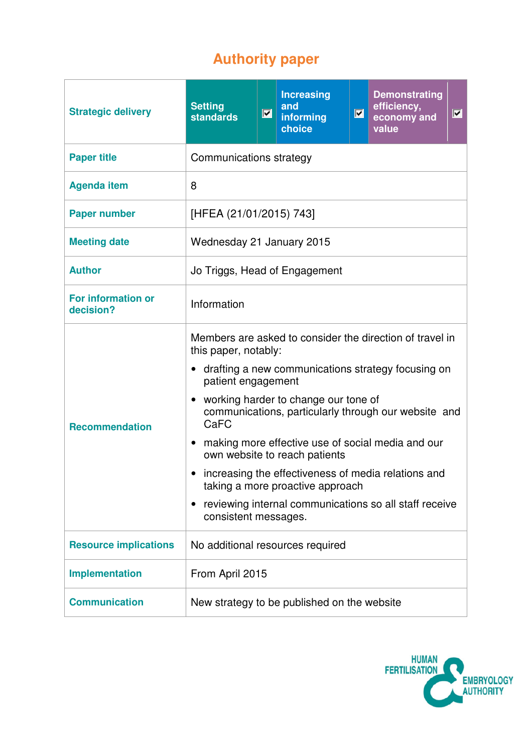# **Authority paper**

| <b>Strategic delivery</b>              | <b>Setting</b><br><b>standards</b>                                                                                                                                                                                                                                                                                                                                                                                                                                                                                                                                  | $\blacksquare$ | <b>Increasing</b><br>and<br>informing<br>choice | $\blacksquare$ | <b>Demonstrating</b><br>efficiency,<br>economy and<br>value | $\vert \overline{\mathbf{v}} \vert$ |
|----------------------------------------|---------------------------------------------------------------------------------------------------------------------------------------------------------------------------------------------------------------------------------------------------------------------------------------------------------------------------------------------------------------------------------------------------------------------------------------------------------------------------------------------------------------------------------------------------------------------|----------------|-------------------------------------------------|----------------|-------------------------------------------------------------|-------------------------------------|
| <b>Paper title</b>                     | Communications strategy                                                                                                                                                                                                                                                                                                                                                                                                                                                                                                                                             |                |                                                 |                |                                                             |                                     |
| <b>Agenda item</b>                     | 8                                                                                                                                                                                                                                                                                                                                                                                                                                                                                                                                                                   |                |                                                 |                |                                                             |                                     |
| <b>Paper number</b>                    | [HFEA (21/01/2015) 743]                                                                                                                                                                                                                                                                                                                                                                                                                                                                                                                                             |                |                                                 |                |                                                             |                                     |
| <b>Meeting date</b>                    | Wednesday 21 January 2015                                                                                                                                                                                                                                                                                                                                                                                                                                                                                                                                           |                |                                                 |                |                                                             |                                     |
| <b>Author</b>                          | Jo Triggs, Head of Engagement                                                                                                                                                                                                                                                                                                                                                                                                                                                                                                                                       |                |                                                 |                |                                                             |                                     |
| <b>For information or</b><br>decision? | Information                                                                                                                                                                                                                                                                                                                                                                                                                                                                                                                                                         |                |                                                 |                |                                                             |                                     |
| <b>Recommendation</b>                  | Members are asked to consider the direction of travel in<br>this paper, notably:<br>• drafting a new communications strategy focusing on<br>patient engagement<br>working harder to change our tone of<br>$\bullet$<br>communications, particularly through our website and<br>CaFC<br>making more effective use of social media and our<br>$\bullet$<br>own website to reach patients<br>increasing the effectiveness of media relations and<br>taking a more proactive approach<br>reviewing internal communications so all staff receive<br>consistent messages. |                |                                                 |                |                                                             |                                     |
| <b>Resource implications</b>           | No additional resources required                                                                                                                                                                                                                                                                                                                                                                                                                                                                                                                                    |                |                                                 |                |                                                             |                                     |
| <b>Implementation</b>                  | From April 2015                                                                                                                                                                                                                                                                                                                                                                                                                                                                                                                                                     |                |                                                 |                |                                                             |                                     |
| <b>Communication</b>                   | New strategy to be published on the website                                                                                                                                                                                                                                                                                                                                                                                                                                                                                                                         |                |                                                 |                |                                                             |                                     |

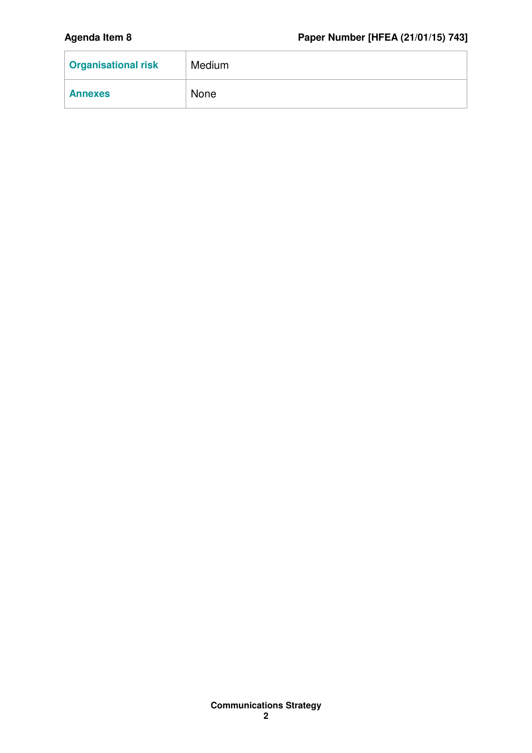| <b>Organisational risk</b> | Medium |
|----------------------------|--------|
| <b>Annexes</b>             | None   |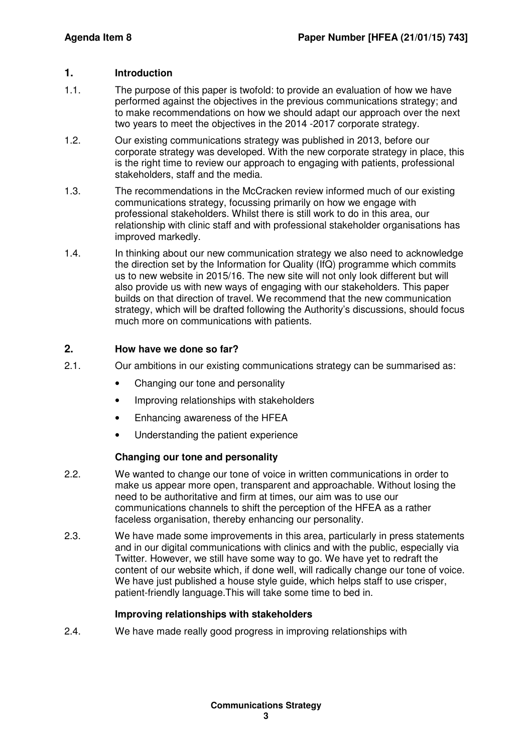# **1. Introduction**

- 1.1. The purpose of this paper is twofold: to provide an evaluation of how we have performed against the objectives in the previous communications strategy; and to make recommendations on how we should adapt our approach over the next two years to meet the objectives in the 2014 -2017 corporate strategy.
- 1.2. Our existing communications strategy was published in 2013, before our corporate strategy was developed. With the new corporate strategy in place, this is the right time to review our approach to engaging with patients, professional stakeholders, staff and the media.
- 1.3. The recommendations in the McCracken review informed much of our existing communications strategy, focussing primarily on how we engage with professional stakeholders. Whilst there is still work to do in this area, our relationship with clinic staff and with professional stakeholder organisations has improved markedly.
- 1.4. In thinking about our new communication strategy we also need to acknowledge the direction set by the Information for Quality (IfQ) programme which commits us to new website in 2015/16. The new site will not only look different but will also provide us with new ways of engaging with our stakeholders. This paper builds on that direction of travel. We recommend that the new communication strategy, which will be drafted following the Authority's discussions, should focus much more on communications with patients.

# **2. How have we done so far?**

- 2.1. Our ambitions in our existing communications strategy can be summarised as:
	- Changing our tone and personality
	- Improving relationships with stakeholders
	- Enhancing awareness of the HFEA
	- Understanding the patient experience

### **Changing our tone and personality**

- 2.2. We wanted to change our tone of voice in written communications in order to make us appear more open, transparent and approachable. Without losing the need to be authoritative and firm at times, our aim was to use our communications channels to shift the perception of the HFEA as a rather faceless organisation, thereby enhancing our personality.
- 2.3. We have made some improvements in this area, particularly in press statements and in our digital communications with clinics and with the public, especially via Twitter. However, we still have some way to go. We have yet to redraft the content of our website which, if done well, will radically change our tone of voice. We have just published a house style guide, which helps staff to use crisper, patient-friendly language.This will take some time to bed in.

### **Improving relationships with stakeholders**

2.4. We have made really good progress in improving relationships with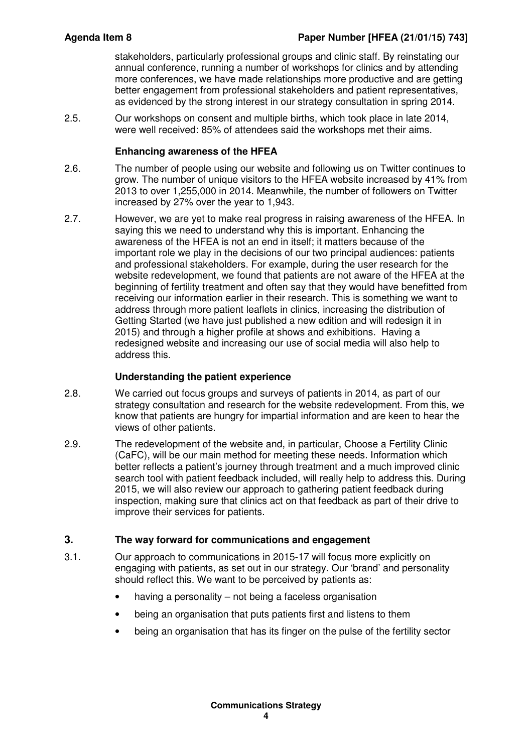stakeholders, particularly professional groups and clinic staff. By reinstating our annual conference, running a number of workshops for clinics and by attending more conferences, we have made relationships more productive and are getting better engagement from professional stakeholders and patient representatives, as evidenced by the strong interest in our strategy consultation in spring 2014.

2.5. Our workshops on consent and multiple births, which took place in late 2014, were well received: 85% of attendees said the workshops met their aims.

### **Enhancing awareness of the HFEA**

- 2.6. The number of people using our website and following us on Twitter continues to grow. The number of unique visitors to the HFEA website increased by 41% from 2013 to over 1,255,000 in 2014. Meanwhile, the number of followers on Twitter increased by 27% over the year to 1,943.
- 2.7. However, we are yet to make real progress in raising awareness of the HFEA. In saying this we need to understand why this is important. Enhancing the awareness of the HFEA is not an end in itself; it matters because of the important role we play in the decisions of our two principal audiences: patients and professional stakeholders. For example, during the user research for the website redevelopment, we found that patients are not aware of the HFEA at the beginning of fertility treatment and often say that they would have benefitted from receiving our information earlier in their research. This is something we want to address through more patient leaflets in clinics, increasing the distribution of Getting Started (we have just published a new edition and will redesign it in 2015) and through a higher profile at shows and exhibitions. Having a redesigned website and increasing our use of social media will also help to address this.

# **Understanding the patient experience**

- 2.8. We carried out focus groups and surveys of patients in 2014, as part of our strategy consultation and research for the website redevelopment. From this, we know that patients are hungry for impartial information and are keen to hear the views of other patients.
- 2.9. The redevelopment of the website and, in particular, Choose a Fertility Clinic (CaFC), will be our main method for meeting these needs. Information which better reflects a patient's journey through treatment and a much improved clinic search tool with patient feedback included, will really help to address this. During 2015, we will also review our approach to gathering patient feedback during inspection, making sure that clinics act on that feedback as part of their drive to improve their services for patients.

# **3. The way forward for communications and engagement**

- 3.1. Our approach to communications in 2015-17 will focus more explicitly on engaging with patients, as set out in our strategy. Our 'brand' and personality should reflect this. We want to be perceived by patients as:
	- having a personality not being a faceless organisation
	- being an organisation that puts patients first and listens to them
	- being an organisation that has its finger on the pulse of the fertility sector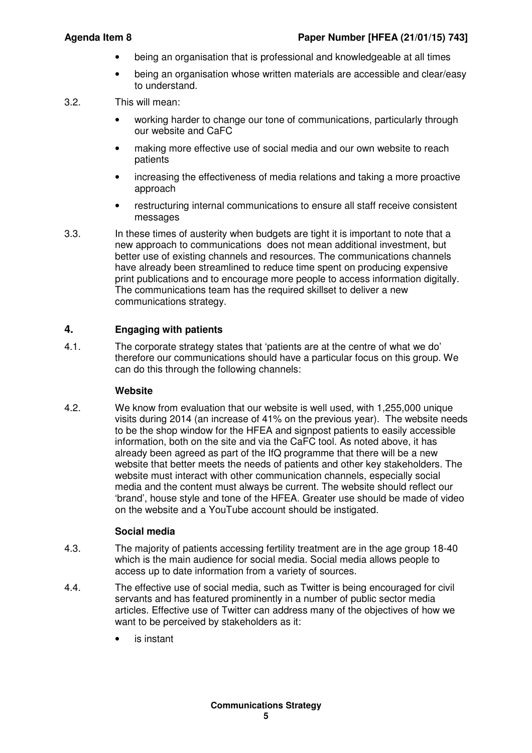- being an organisation that is professional and knowledgeable at all times
- being an organisation whose written materials are accessible and clear/easy to understand.
- 3.2. This will mean:
	- working harder to change our tone of communications, particularly through our website and CaFC
	- making more effective use of social media and our own website to reach patients
	- increasing the effectiveness of media relations and taking a more proactive approach
	- restructuring internal communications to ensure all staff receive consistent messages
- 3.3. In these times of austerity when budgets are tight it is important to note that a new approach to communications does not mean additional investment, but better use of existing channels and resources. The communications channels have already been streamlined to reduce time spent on producing expensive print publications and to encourage more people to access information digitally. The communications team has the required skillset to deliver a new communications strategy.

# **4. Engaging with patients**

4.1. The corporate strategy states that 'patients are at the centre of what we do' therefore our communications should have a particular focus on this group. We can do this through the following channels:

### **Website**

4.2. We know from evaluation that our website is well used, with 1,255,000 unique visits during 2014 (an increase of 41% on the previous year). The website needs to be the shop window for the HFEA and signpost patients to easily accessible information, both on the site and via the CaFC tool. As noted above, it has already been agreed as part of the IfQ programme that there will be a new website that better meets the needs of patients and other key stakeholders. The website must interact with other communication channels, especially social media and the content must always be current. The website should reflect our 'brand', house style and tone of the HFEA. Greater use should be made of video on the website and a YouTube account should be instigated.

# **Social media**

- 4.3. The majority of patients accessing fertility treatment are in the age group 18-40 which is the main audience for social media. Social media allows people to access up to date information from a variety of sources.
- 4.4. The effective use of social media, such as Twitter is being encouraged for civil servants and has featured prominently in a number of public sector media articles. Effective use of Twitter can address many of the objectives of how we want to be perceived by stakeholders as it:
	- is instant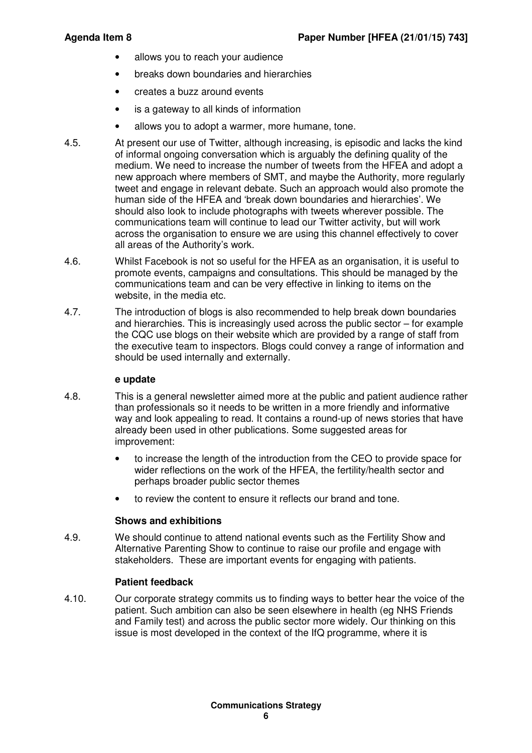- allows you to reach your audience
- breaks down boundaries and hierarchies
- creates a buzz around events
- is a gateway to all kinds of information
- allows you to adopt a warmer, more humane, tone.
- 4.5. At present our use of Twitter, although increasing, is episodic and lacks the kind of informal ongoing conversation which is arguably the defining quality of the medium. We need to increase the number of tweets from the HFEA and adopt a new approach where members of SMT, and maybe the Authority, more regularly tweet and engage in relevant debate. Such an approach would also promote the human side of the HFEA and 'break down boundaries and hierarchies'. We should also look to include photographs with tweets wherever possible. The communications team will continue to lead our Twitter activity, but will work across the organisation to ensure we are using this channel effectively to cover all areas of the Authority's work.
- 4.6. Whilst Facebook is not so useful for the HFEA as an organisation, it is useful to promote events, campaigns and consultations. This should be managed by the communications team and can be very effective in linking to items on the website, in the media etc.
- 4.7. The introduction of blogs is also recommended to help break down boundaries and hierarchies. This is increasingly used across the public sector – for example the CQC use blogs on their website which are provided by a range of staff from the executive team to inspectors. Blogs could convey a range of information and should be used internally and externally.

#### **e update**

- 4.8. This is a general newsletter aimed more at the public and patient audience rather than professionals so it needs to be written in a more friendly and informative way and look appealing to read. It contains a round-up of news stories that have already been used in other publications. Some suggested areas for improvement:
	- to increase the length of the introduction from the CEO to provide space for wider reflections on the work of the HFEA, the fertility/health sector and perhaps broader public sector themes
	- to review the content to ensure it reflects our brand and tone.

### **Shows and exhibitions**

4.9. We should continue to attend national events such as the Fertility Show and Alternative Parenting Show to continue to raise our profile and engage with stakeholders. These are important events for engaging with patients.

### **Patient feedback**

4.10. Our corporate strategy commits us to finding ways to better hear the voice of the patient. Such ambition can also be seen elsewhere in health (eg NHS Friends and Family test) and across the public sector more widely. Our thinking on this issue is most developed in the context of the IfQ programme, where it is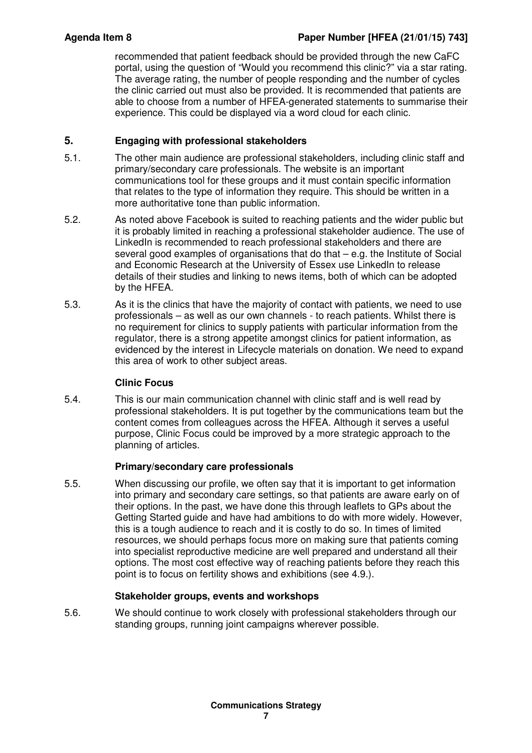recommended that patient feedback should be provided through the new CaFC portal, using the question of "Would you recommend this clinic?" via a star rating. The average rating, the number of people responding and the number of cycles the clinic carried out must also be provided. It is recommended that patients are able to choose from a number of HFEA-generated statements to summarise their experience. This could be displayed via a word cloud for each clinic.

# **5. Engaging with professional stakeholders**

- 5.1. The other main audience are professional stakeholders, including clinic staff and primary/secondary care professionals. The website is an important communications tool for these groups and it must contain specific information that relates to the type of information they require. This should be written in a more authoritative tone than public information.
- 5.2. As noted above Facebook is suited to reaching patients and the wider public but it is probably limited in reaching a professional stakeholder audience. The use of LinkedIn is recommended to reach professional stakeholders and there are several good examples of organisations that do that – e.g. the Institute of Social and Economic Research at the University of Essex use LinkedIn to release details of their studies and linking to news items, both of which can be adopted by the HFEA.
- 5.3. As it is the clinics that have the majority of contact with patients, we need to use professionals – as well as our own channels - to reach patients. Whilst there is no requirement for clinics to supply patients with particular information from the regulator, there is a strong appetite amongst clinics for patient information, as evidenced by the interest in Lifecycle materials on donation. We need to expand this area of work to other subject areas.

# **Clinic Focus**

5.4. This is our main communication channel with clinic staff and is well read by professional stakeholders. It is put together by the communications team but the content comes from colleagues across the HFEA. Although it serves a useful purpose, Clinic Focus could be improved by a more strategic approach to the planning of articles.

# **Primary/secondary care professionals**

5.5. When discussing our profile, we often say that it is important to get information into primary and secondary care settings, so that patients are aware early on of their options. In the past, we have done this through leaflets to GPs about the Getting Started guide and have had ambitions to do with more widely. However, this is a tough audience to reach and it is costly to do so. In times of limited resources, we should perhaps focus more on making sure that patients coming into specialist reproductive medicine are well prepared and understand all their options. The most cost effective way of reaching patients before they reach this point is to focus on fertility shows and exhibitions (see 4.9.).

# **Stakeholder groups, events and workshops**

5.6. We should continue to work closely with professional stakeholders through our standing groups, running joint campaigns wherever possible.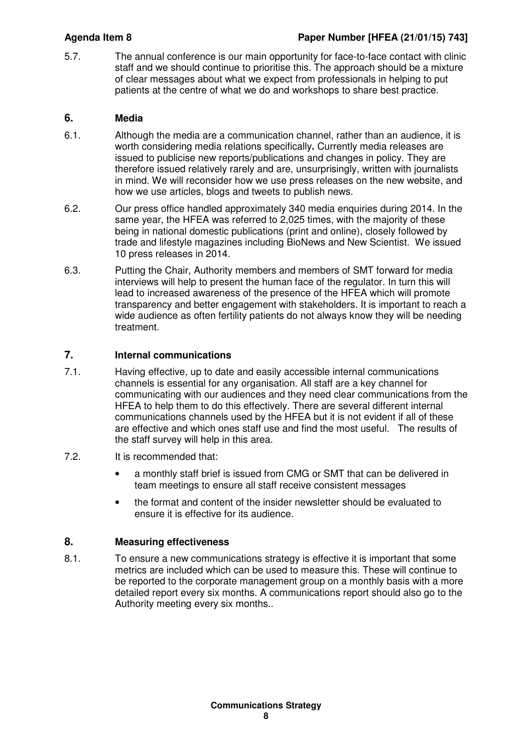5.7. The annual conference is our main opportunity for face-to-face contact with clinic staff and we should continue to prioritise this. The approach should be a mixture of clear messages about what we expect from professionals in helping to put patients at the centre of what we do and workshops to share best practice.

# **6. Media**

- 6.1. Although the media are a communication channel, rather than an audience, it is worth considering media relations specifically**.** Currently media releases are issued to publicise new reports/publications and changes in policy. They are therefore issued relatively rarely and are, unsurprisingly, written with journalists in mind. We will reconsider how we use press releases on the new website, and how we use articles, blogs and tweets to publish news.
- 6.2. Our press office handled approximately 340 media enquiries during 2014. In the same year, the HFEA was referred to 2,025 times, with the majority of these being in national domestic publications (print and online), closely followed by trade and lifestyle magazines including BioNews and New Scientist. We issued 10 press releases in 2014.
- 6.3. Putting the Chair, Authority members and members of SMT forward for media interviews will help to present the human face of the regulator. In turn this will lead to increased awareness of the presence of the HFEA which will promote transparency and better engagement with stakeholders. It is important to reach a wide audience as often fertility patients do not always know they will be needing treatment.

# **7. Internal communications**

- 7.1. Having effective, up to date and easily accessible internal communications channels is essential for any organisation. All staff are a key channel for communicating with our audiences and they need clear communications from the HFEA to help them to do this effectively. There are several different internal communications channels used by the HFEA but it is not evident if all of these are effective and which ones staff use and find the most useful. The results of the staff survey will help in this area.
- 7.2. It is recommended that:
	- a monthly staff brief is issued from CMG or SMT that can be delivered in team meetings to ensure all staff receive consistent messages
	- the format and content of the insider newsletter should be evaluated to ensure it is effective for its audience.

# **8. Measuring effectiveness**

8.1. To ensure a new communications strategy is effective it is important that some metrics are included which can be used to measure this. These will continue to be reported to the corporate management group on a monthly basis with a more detailed report every six months. A communications report should also go to the Authority meeting every six months..